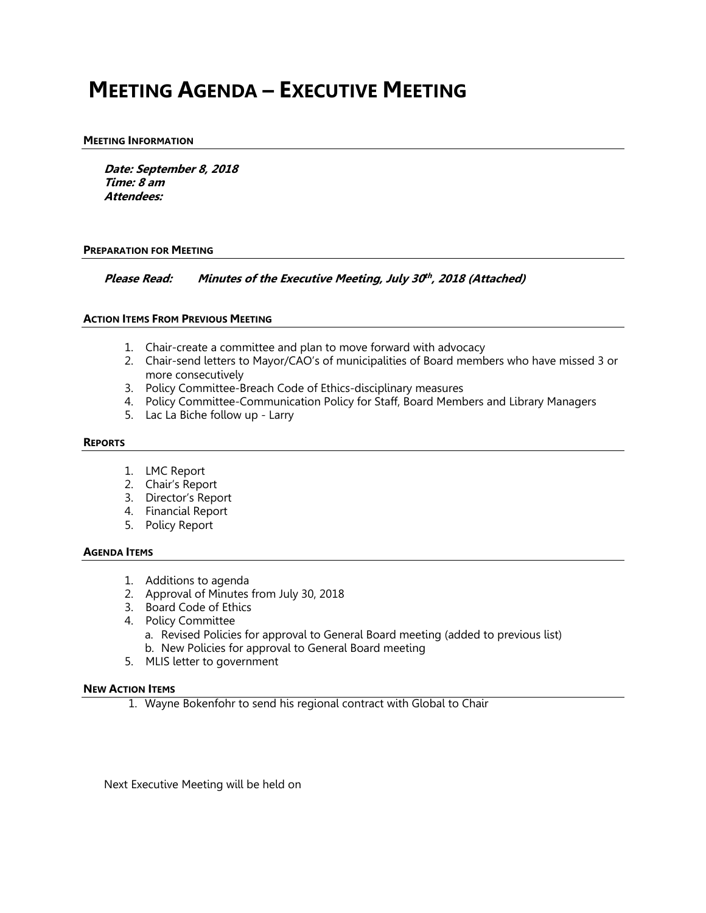## **MEETING AGENDA – EXECUTIVE MEETING**

### **MEETING INFORMATION**

**Date: September 8, 2018 Time: 8 am Attendees:**

#### **PREPARATION FOR MEETING**

**Please Read: Minutes of the Executive Meeting, July 30th , <sup>2018</sup> (Attached)**

#### **ACTION ITEMS FROM PREVIOUS MEETING**

- 1. Chair-create a committee and plan to move forward with advocacy
- 2. Chair-send letters to Mayor/CAO's of municipalities of Board members who have missed 3 or more consecutively
- 3. Policy Committee-Breach Code of Ethics-disciplinary measures
- 4. Policy Committee-Communication Policy for Staff, Board Members and Library Managers
- 5. Lac La Biche follow up Larry

#### **REPORTS**

- 1. LMC Report
- 2. Chair's Report
- 3. Director's Report
- 4. Financial Report
- 5. Policy Report

#### **AGENDA ITEMS**

- 1. Additions to agenda
- 2. Approval of Minutes from July 30, 2018
- 3. Board Code of Ethics
- 4. Policy Committee
	- a. Revised Policies for approval to General Board meeting (added to previous list) b. New Policies for approval to General Board meeting
- 5. MLIS letter to government

#### **NEW ACTION ITEMS**

1. Wayne Bokenfohr to send his regional contract with Global to Chair

Next Executive Meeting will be held on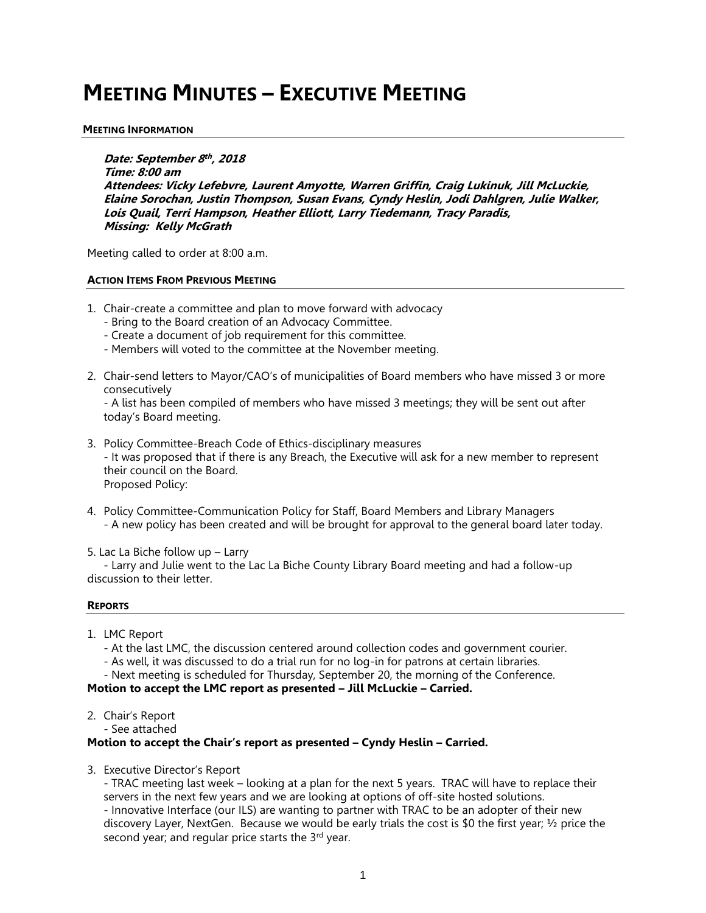# **MEETING MINUTES – EXECUTIVE MEETING**

#### **MEETING INFORMATION**

**Date: September 8 th , 2018 Time: 8:00 am Attendees: Vicky Lefebvre, Laurent Amyotte, Warren Griffin, Craig Lukinuk, Jill McLuckie, Elaine Sorochan, Justin Thompson, Susan Evans, Cyndy Heslin, Jodi Dahlgren, Julie Walker, Lois Quail, Terri Hampson, Heather Elliott, Larry Tiedemann, Tracy Paradis, Missing: Kelly McGrath**

Meeting called to order at 8:00 a.m.

#### **ACTION ITEMS FROM PREVIOUS MEETING**

- 1. Chair-create a committee and plan to move forward with advocacy
	- Bring to the Board creation of an Advocacy Committee.
	- Create a document of job requirement for this committee.
	- Members will voted to the committee at the November meeting.
- 2. Chair-send letters to Mayor/CAO's of municipalities of Board members who have missed 3 or more consecutively

- A list has been compiled of members who have missed 3 meetings; they will be sent out after today's Board meeting.

- 3. Policy Committee-Breach Code of Ethics-disciplinary measures - It was proposed that if there is any Breach, the Executive will ask for a new member to represent their council on the Board. Proposed Policy:
- 4. Policy Committee-Communication Policy for Staff, Board Members and Library Managers - A new policy has been created and will be brought for approval to the general board later today.

5. Lac La Biche follow up – Larry

- Larry and Julie went to the Lac La Biche County Library Board meeting and had a follow-up discussion to their letter.

#### **REPORTS**

- 1. LMC Report
	- At the last LMC, the discussion centered around collection codes and government courier.
	- As well, it was discussed to do a trial run for no log-in for patrons at certain libraries.
	- Next meeting is scheduled for Thursday, September 20, the morning of the Conference.

## **Motion to accept the LMC report as presented – Jill McLuckie – Carried.**

- 2. Chair's Report
	- See attached

## **Motion to accept the Chair's report as presented – Cyndy Heslin – Carried.**

3. Executive Director's Report

- TRAC meeting last week – looking at a plan for the next 5 years. TRAC will have to replace their servers in the next few years and we are looking at options of off-site hosted solutions. - Innovative Interface (our ILS) are wanting to partner with TRAC to be an adopter of their new discovery Layer, NextGen. Because we would be early trials the cost is \$0 the first year; ½ price the second year; and regular price starts the 3rd year.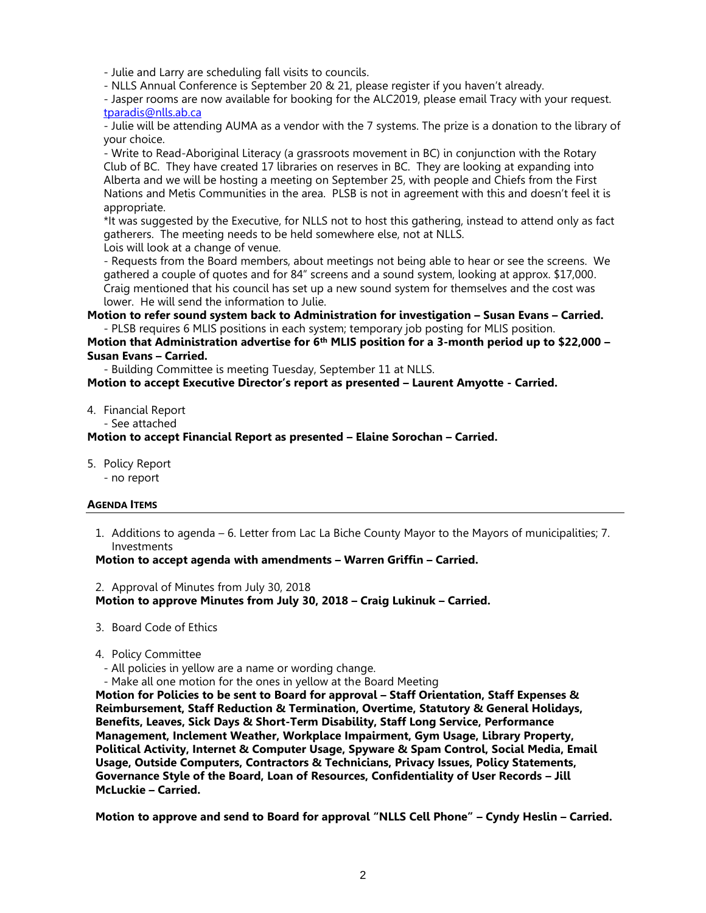- Julie and Larry are scheduling fall visits to councils.

- NLLS Annual Conference is September 20 & 21, please register if you haven't already.

- Jasper rooms are now available for booking for the ALC2019, please email Tracy with your request. [tparadis@nlls.ab.ca](mailto:tparadis@nlls.ab.ca)

- Julie will be attending AUMA as a vendor with the 7 systems. The prize is a donation to the library of your choice.

- Write to Read-Aboriginal Literacy (a grassroots movement in BC) in conjunction with the Rotary Club of BC. They have created 17 libraries on reserves in BC. They are looking at expanding into Alberta and we will be hosting a meeting on September 25, with people and Chiefs from the First Nations and Metis Communities in the area. PLSB is not in agreement with this and doesn't feel it is appropriate.

\*It was suggested by the Executive, for NLLS not to host this gathering, instead to attend only as fact gatherers. The meeting needs to be held somewhere else, not at NLLS. Lois will look at a change of venue.

- Requests from the Board members, about meetings not being able to hear or see the screens. We gathered a couple of quotes and for 84" screens and a sound system, looking at approx. \$17,000. Craig mentioned that his council has set up a new sound system for themselves and the cost was lower. He will send the information to Julie.

**Motion to refer sound system back to Administration for investigation – Susan Evans – Carried.** - PLSB requires 6 MLIS positions in each system; temporary job posting for MLIS position.

**Motion that Administration advertise for 6th MLIS position for a 3-month period up to \$22,000 – Susan Evans – Carried.**

- Building Committee is meeting Tuesday, September 11 at NLLS.

**Motion to accept Executive Director's report as presented – Laurent Amyotte - Carried.**

#### 4. Financial Report

- See attached

**Motion to accept Financial Report as presented – Elaine Sorochan – Carried.**

- 5. Policy Report
	- no report

## **AGENDA ITEMS**

1. Additions to agenda – 6. Letter from Lac La Biche County Mayor to the Mayors of municipalities; 7. Investments

## **Motion to accept agenda with amendments – Warren Griffin – Carried.**

2. Approval of Minutes from July 30, 2018

**Motion to approve Minutes from July 30, 2018 – Craig Lukinuk – Carried.**

- 3. Board Code of Ethics
- 4. Policy Committee
- All policies in yellow are a name or wording change.
- Make all one motion for the ones in yellow at the Board Meeting

**Motion for Policies to be sent to Board for approval – Staff Orientation, Staff Expenses & Reimbursement, Staff Reduction & Termination, Overtime, Statutory & General Holidays, Benefits, Leaves, Sick Days & Short-Term Disability, Staff Long Service, Performance Management, Inclement Weather, Workplace Impairment, Gym Usage, Library Property, Political Activity, Internet & Computer Usage, Spyware & Spam Control, Social Media, Email Usage, Outside Computers, Contractors & Technicians, Privacy Issues, Policy Statements, Governance Style of the Board, Loan of Resources, Confidentiality of User Records – Jill McLuckie – Carried.**

**Motion to approve and send to Board for approval "NLLS Cell Phone" – Cyndy Heslin – Carried.**